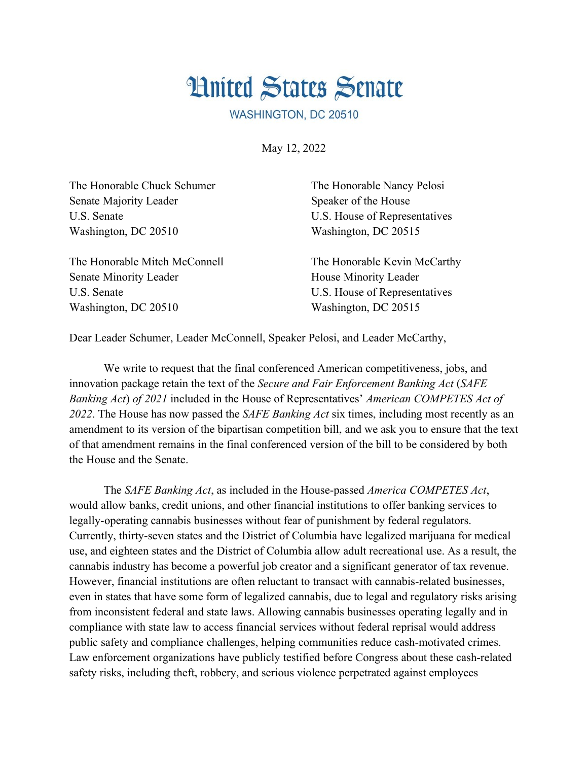## **Hnited States Senate**

WASHINGTON, DC 20510

May 12, 2022

| The Honorable Chuck Schumer   | The Honorable Nancy Pelosi    |
|-------------------------------|-------------------------------|
| Senate Majority Leader        | Speaker of the House          |
| U.S. Senate                   | U.S. House of Representatives |
| Washington, DC 20510          | Washington, DC 20515          |
| The Honorable Mitch McConnell | The Honorable Kevin McCarthy  |
| <b>Senate Minority Leader</b> | House Minority Leader         |
| U.S. Senate                   | U.S. House of Representatives |
| Washington, DC 20510          | Washington, DC 20515          |

Dear Leader Schumer, Leader McConnell, Speaker Pelosi, and Leader McCarthy,

We write to request that the final conferenced American competitiveness, jobs, and innovation package retain the text of the *Secure and Fair Enforcement Banking Act* (*SAFE Banking Act*) *of 2021* included in the House of Representatives' *American COMPETES Act of 2022*. The House has now passed the *SAFE Banking Act* six times, including most recently as an amendment to its version of the bipartisan competition bill, and we ask you to ensure that the text of that amendment remains in the final conferenced version of the bill to be considered by both the House and the Senate.

The *SAFE Banking Act*, as included in the House-passed *America COMPETES Act*, would allow banks, credit unions, and other financial institutions to offer banking services to legally-operating cannabis businesses without fear of punishment by federal regulators. Currently, thirty-seven states and the District of Columbia have legalized marijuana for medical use, and eighteen states and the District of Columbia allow adult recreational use. As a result, the cannabis industry has become a powerful job creator and a significant generator of tax revenue. However, financial institutions are often reluctant to transact with cannabis-related businesses, even in states that have some form of legalized cannabis, due to legal and regulatory risks arising from inconsistent federal and state laws. Allowing cannabis businesses operating legally and in compliance with state law to access financial services without federal reprisal would address public safety and compliance challenges, helping communities reduce cash-motivated crimes. Law enforcement organizations have publicly testified before Congress about these cash-related safety risks, including theft, robbery, and serious violence perpetrated against employees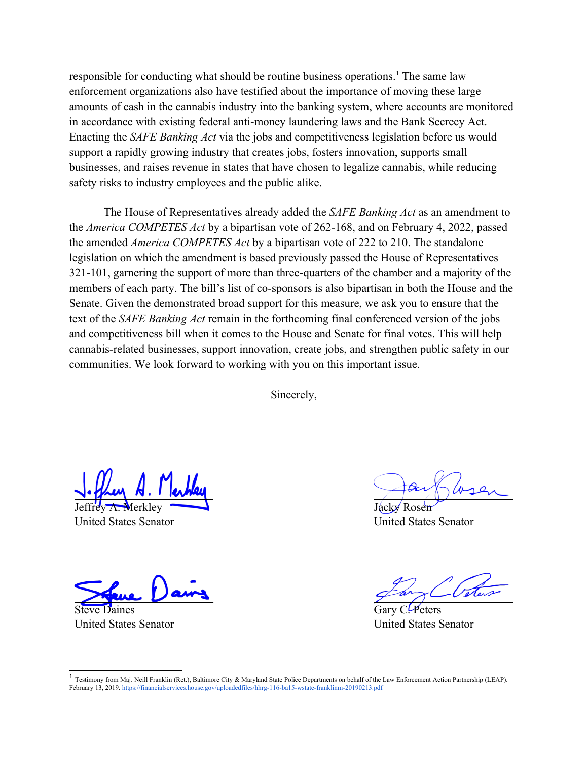<span id="page-1-0"></span>responsible for conducting what should be routine business operations.<sup>[1](#page-1-1)</sup> The same law enforcement organizations also have testified about the importance of moving these large amounts of cash in the cannabis industry into the banking system, where accounts are monitored in accordance with existing federal anti-money laundering laws and the Bank Secrecy Act. Enacting the *SAFE Banking Act* via the jobs and competitiveness legislation before us would support a rapidly growing industry that creates jobs, fosters innovation, supports small businesses, and raises revenue in states that have chosen to legalize cannabis, while reducing safety risks to industry employees and the public alike.

The House of Representatives already added the *SAFE Banking Act* as an amendment to the *America COMPETES Act* by a bipartisan vote of 262-168, and on February 4, 2022, passed the amended *America COMPETES Act* by a bipartisan vote of 222 to 210. The standalone legislation on which the amendment is based previously passed the House of Representatives 321-101, garnering the support of more than three-quarters of the chamber and a majority of the members of each party. The bill's list of co-sponsors is also bipartisan in both the House and the Senate. Given the demonstrated broad support for this measure, we ask you to ensure that the text of the *SAFE Banking Act* remain in the forthcoming final conferenced version of the jobs and competitiveness bill when it comes to the House and Senate for final votes. This will help cannabis-related businesses, support innovation, create jobs, and strengthen public safety in our communities. We look forward to working with you on this important issue.

Sincerely,

Jeffrey A. Merkley

United States Senator

e Daines United States Senator

Jacky Rosen United States Senator

Gary CLPeters United States Senator

<span id="page-1-1"></span><sup>&</sup>lt;sup>[1](#page-1-0)</sup> Testimony from Mai. Neill Franklin (Ret.). Baltimore City & Maryland State Police Departments on behalf of the Law Enforcement Action Partnership (LEAP). February 13, 2019. https://financialservices.house.gov/uploadedfiles/hhrg-116-ba15-wstate-franklinm-20190213.pdf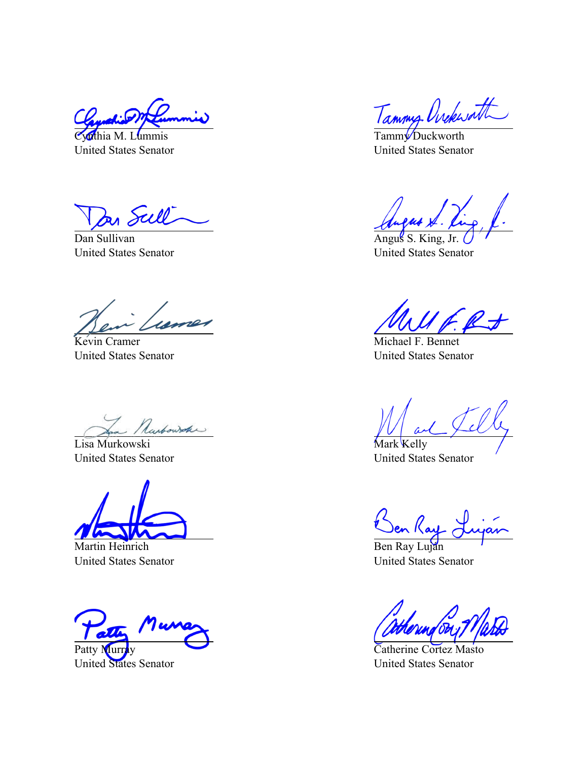thia M. Lummis United States Senator

In Sull

Dan Sullivan United States Senator

Kevin Cramer United States Senator

Lisa Murkowski

United States Senator

Martin Heinrich United States Senator

Patty Muri

United States Senator

Tammy Ovekworth

United States Senator

Angus S. King, Jr. United States Senator

Michael F. Bennet United States Senator

Mark Kelly United States Senator

Den Kay

Ben Ray Luján United States Senator

Catherine Cortez Masto United States Senator